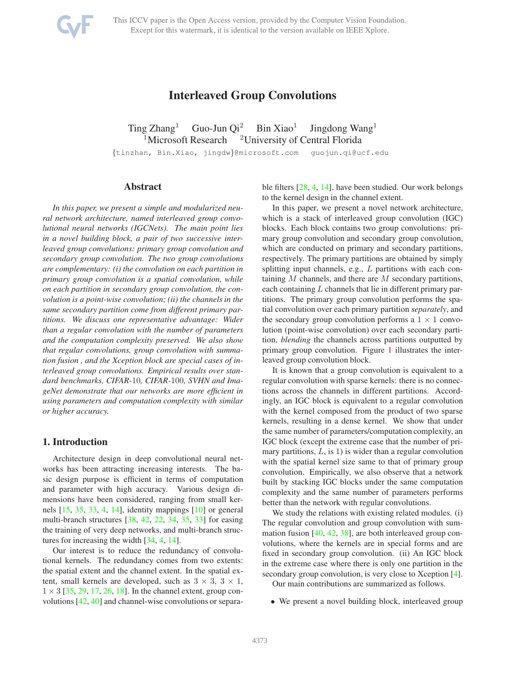<span id="page-0-0"></span>

# Interleaved Group Convolutions

Ting Zhang<sup>1</sup> Guo-Jun Qi<sup>2</sup> Bin Xiao<sup>1</sup> Jingdong Wang<sup>1</sup> <sup>1</sup>Microsoft Research  $2$ University of Central Florida

{tinzhan, Bin.Xiao, jingdw}@microsoft.com guojun.qi@ucf.edu

# Abstract

*In this paper, we present a simple and modularized neural network architecture, named interleaved group convolutional neural networks (IGCNets). The main point lies in a novel building block, a pair of two successive interleaved group convolutions: primary group convolution and secondary group convolution. The two group convolutions are complementary: (i) the convolution on each partition in primary group convolution is a spatial convolution, while on each partition in secondary group convolution, the convolution is a point-wise convolution; (ii) the channels in the same secondary partition come from different primary partitions. We discuss one representative advantage: Wider than a regular convolution with the number of parameters and the computation complexity preserved. We also show that regular convolutions, group convolution with summation fusion , and the Xception block are special cases of interleaved group convolutions. Empirical results over standard benchmarks, CIFAR-*10*, CIFAR-*100*, SVHN and ImageNet demonstrate that our networks are more efficient in using parameters and computation complexity with similar or higher accuracy.*

### 1. Introduction

Architecture design in deep convolutional neural networks has been attracting increasing interests. The basic design purpose is efficient in terms of computation and parameter with high accuracy. Various design dimensions have been considered, ranging from small kernels [\[15,](#page-8-0) [35,](#page-8-1) [33,](#page-8-2) [4,](#page-8-3) [14\]](#page-8-4), identity mappings [\[10\]](#page-8-5) or general multi-branch structures [\[38,](#page-8-6) [42,](#page-9-0) [22,](#page-8-7) [34,](#page-8-8) [35,](#page-8-1) [33\]](#page-8-2) for easing the training of very deep networks, and multi-branch structures for increasing the width [\[34,](#page-8-8) [4,](#page-8-3) [14\]](#page-8-4).

Our interest is to reduce the redundancy of convolutional kernels. The redundancy comes from two extents: the spatial extent and the channel extent. In the spatial extent, small kernels are developed, such as  $3 \times 3$ ,  $3 \times 1$ ,  $1 \times 3$  [\[35,](#page-8-1) [29,](#page-8-9) [17,](#page-8-10) [26,](#page-8-11) [18\]](#page-8-12). In the channel extent, group convolutions [\[42,](#page-9-0) [40\]](#page-8-13) and channel-wise convolutions or separable filters [\[28,](#page-8-14) [4,](#page-8-3) [14\]](#page-8-4), have been studied. Our work belongs to the kernel design in the channel extent.

In this paper, we present a novel network architecture, which is a stack of interleaved group convolution (IGC) blocks. Each block contains two group convolutions: primary group convolution and secondary group convolution, which are conducted on primary and secondary partitions, respectively. The primary partitions are obtained by simply splitting input channels, e.g., L partitions with each containing  $M$  channels, and there are  $M$  secondary partitions, each containing  $L$  channels that lie in different primary partitions. The primary group convolution performs the spatial convolution over each primary partition *separately*, and the secondary group convolution performs a  $1 \times 1$  convolution (point-wise convolution) over each secondary partition, *blending* the channels across partitions outputted by primary group convolution. Figure [1](#page-1-0) illustrates the interleaved group convolution block.

It is known that a group convolution is equivalent to a regular convolution with sparse kernels: there is no connections across the channels in different partitions. Accordingly, an IGC block is equivalent to a regular convolution with the kernel composed from the product of two sparse kernels, resulting in a dense kernel. We show that under the same number of parameters/computation complexity, an IGC block (except the extreme case that the number of primary partitions,  $L$ , is 1) is wider than a regular convolution with the spatial kernel size same to that of primary group convolution. Empirically, we also observe that a network built by stacking IGC blocks under the same computation complexity and the same number of parameters performs better than the network with regular convolutions.

We study the relations with existing related modules. (i) The regular convolution and group convolution with summation fusion [\[40,](#page-8-13) [42,](#page-9-0) [38\]](#page-8-6), are both interleaved group convolutions, where the kernels are in special forms and are fixed in secondary group convolution. (ii) An IGC block in the extreme case where there is only one partition in the secondary group convolution, is very close to Xception [\[4\]](#page-8-3).

Our main contributions are summarized as follows.

• We present a novel building block, interleaved group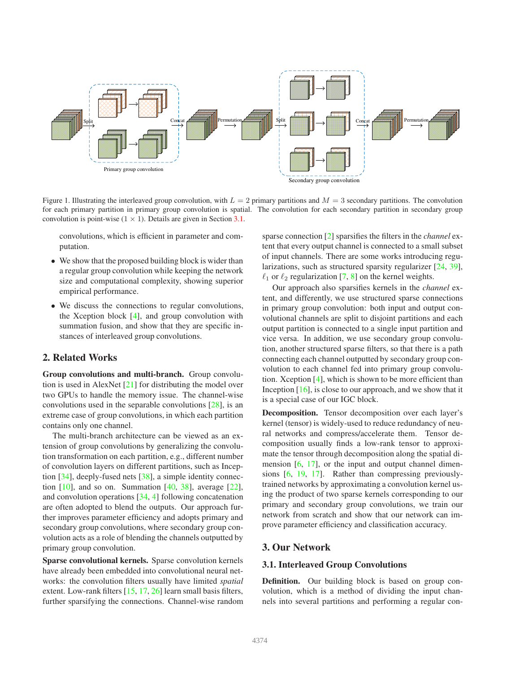

<span id="page-1-0"></span>Figure 1. Illustrating the interleaved group convolution, with  $L = 2$  primary partitions and  $M = 3$  secondary partitions. The convolution for each primary partition in primary group convolution is spatial. The convolution for each secondary partition in secondary group convolution is point-wise  $(1 \times 1)$ . Details are given in Section [3.1.](#page-1-1)

convolutions, which is efficient in parameter and computation.

- We show that the proposed building block is wider than a regular group convolution while keeping the network size and computational complexity, showing superior empirical performance.
- We discuss the connections to regular convolutions, the Xception block [\[4\]](#page-8-3), and group convolution with summation fusion, and show that they are specific instances of interleaved group convolutions.

### 2. Related Works

Group convolutions and multi-branch. Group convolution is used in AlexNet  $[21]$  for distributing the model over two GPUs to handle the memory issue. The channel-wise convolutions used in the separable convolutions [\[28\]](#page-8-14), is an extreme case of group convolutions, in which each partition contains only one channel.

The multi-branch architecture can be viewed as an extension of group convolutions by generalizing the convolution transformation on each partition, e.g., different number of convolution layers on different partitions, such as Inception [\[34\]](#page-8-8), deeply-fused nets [\[38\]](#page-8-6), a simple identity connection  $[10]$ , and so on. Summation  $[40, 38]$  $[40, 38]$  $[40, 38]$ , average  $[22]$ , and convolution operations [\[34,](#page-8-8) [4\]](#page-8-3) following concatenation are often adopted to blend the outputs. Our approach further improves parameter efficiency and adopts primary and secondary group convolutions, where secondary group convolution acts as a role of blending the channels outputted by primary group convolution.

Sparse convolutional kernels. Sparse convolution kernels have already been embedded into convolutional neural networks: the convolution filters usually have limited *spatial* extent. Low-rank filters [\[15,](#page-8-0) [17,](#page-8-10) [26\]](#page-8-11) learn small basis filters, further sparsifying the connections. Channel-wise random sparse connection [\[2\]](#page-8-16) sparsifies the filters in the *channel* extent that every output channel is connected to a small subset of input channels. There are some works introducing regularizations, such as structured sparsity regularizer [\[24,](#page-8-17) [39\]](#page-8-18),  $\ell_1$  or  $\ell_2$  regularization [\[7,](#page-8-19) [8\]](#page-8-20) on the kernel weights.

Our approach also sparsifies kernels in the *channel* extent, and differently, we use structured sparse connections in primary group convolution: both input and output convolutional channels are split to disjoint partitions and each output partition is connected to a single input partition and vice versa. In addition, we use secondary group convolution, another structured sparse filters, so that there is a path connecting each channel outputted by secondary group convolution to each channel fed into primary group convolution. Xception [\[4\]](#page-8-3), which is shown to be more efficient than Inception  $[16]$ , is close to our approach, and we show that it is a special case of our IGC block.

Decomposition. Tensor decomposition over each layer's kernel (tensor) is widely-used to reduce redundancy of neural networks and compress/accelerate them. Tensor decomposition usually finds a low-rank tensor to approximate the tensor through decomposition along the spatial dimension  $[6, 17]$  $[6, 17]$ , or the input and output channel dimensions [\[6,](#page-8-22) [19,](#page-8-23) [17\]](#page-8-10). Rather than compressing previouslytrained networks by approximating a convolution kernel using the product of two sparse kernels corresponding to our primary and secondary group convolutions, we train our network from scratch and show that our network can improve parameter efficiency and classification accuracy.

### <span id="page-1-1"></span>3. Our Network

### 3.1. Interleaved Group Convolutions

Definition. Our building block is based on group convolution, which is a method of dividing the input channels into several partitions and performing a regular con-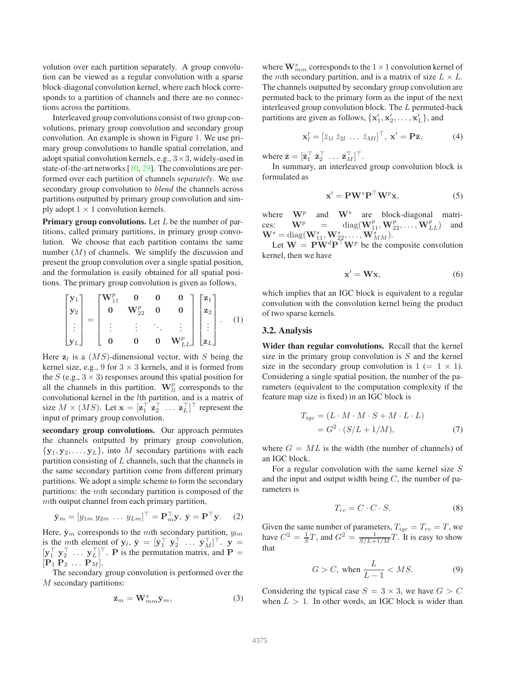volution over each partition separately. A group convolution can be viewed as a regular convolution with a sparse block-diagonal convolution kernel, where each block corresponds to a partition of channels and there are no connections across the partitions.

Interleaved group convolutions consist of two group convolutions, primary group convolution and secondary group convolution. An example is shown in Figure [1.](#page-1-0) We use primary group convolutions to handle spatial correlation, and adopt spatial convolution kernels, e.g.,  $3 \times 3$ , widely-used in state-of-the-art networks [\[10,](#page-8-5) [29\]](#page-8-9). The convolutions are performed over each partition of channels *separately*. We use secondary group convolution to *blend* the channels across partitions outputted by primary group convolution and simply adopt  $1 \times 1$  convolution kernels.

**Primary group convolutions.** Let  $L$  be the number of partitions, called primary partitions, in primary group convolution. We choose that each partition contains the same number  $(M)$  of channels. We simplify the discussion and present the group convolution over a single spatial position, and the formulation is easily obtained for all spatial positions. The primary group convolution is given as follows,

$$
\begin{bmatrix} \mathbf{y}_1 \\ \mathbf{y}_2 \\ \vdots \\ \mathbf{y}_L \end{bmatrix} = \begin{bmatrix} \mathbf{W}_{11}^p & \mathbf{0} & \mathbf{0} & \mathbf{0} \\ \mathbf{0} & \mathbf{W}_{22}^p & \mathbf{0} & \mathbf{0} \\ \vdots & \vdots & \ddots & \vdots \\ \mathbf{0} & \mathbf{0} & \mathbf{0} & \mathbf{W}_{LL}^p \end{bmatrix} \begin{bmatrix} \mathbf{z}_1 \\ \mathbf{z}_2 \\ \vdots \\ \mathbf{z}_L \end{bmatrix} .
$$
 (1)

Here  $z_l$  is a  $(MS)$ -dimensional vector, with S being the kernel size, e.g., 9 for  $3 \times 3$  kernels, and it is formed from the  $S$  (e.g.,  $3 \times 3$ ) responses around this spatial position for all the channels in this partition.  $\mathbf{W}_{ll}^{p}$  corresponds to the convolutional kernel in the lth partition, and is a matrix of size  $M \times (MS)$ . Let  $\mathbf{x} = [\mathbf{z}_1^\top \mathbf{z}_2^\top \dots \mathbf{z}_L^\top]^\top$  represent the input of primary group convolution.

secondary group convolutions. Our approach permutes the channels outputted by primary group convolution,  $\{y_1, y_2, \ldots, y_L\}$ , into M secondary partitions with each partition consisting of  $L$  channels, such that the channels in the same secondary partition come from different primary partitions. We adopt a simple scheme to form the secondary partitions: the mth secondary partition is composed of the mth output channel from each primary partition,

$$
\bar{\mathbf{y}}_m = [y_{1m} \ y_{2m} \ \dots \ y_{Lm}]^\top = \mathbf{P}_m^\top \mathbf{y}, \ \bar{\mathbf{y}} = \mathbf{P}^\top \mathbf{y}.
$$
 (2)

Here,  $\bar{y}_m$  corresponds to the mth secondary partition,  $y_{lm}$ is the *m*th element of  $y_l$ ,  $\bar{y} = [\bar{y}_1^\top \ \bar{y}_2^\top \ \dots \ \bar{y}_M^\top]^\top$ .  $y =$  $[\mathbf{y}_1^\top \ \mathbf{y}_2^\top \ \dots \ \mathbf{y}_L^\top]^\top$ . P is the permutation matrix, and  $\mathbf{P} =$  $[\mathbf{P}_1 \; \mathbf{P}_2 \; \dots \; \mathbf{P}_M].$ 

The secondary group convolution is performed over the M secondary partitions:

$$
\bar{\mathbf{z}}_m = \mathbf{W}_{mm}^s \bar{\mathbf{y}}_m,\tag{3}
$$

where  $\mathbf{W}_{mm}^s$  corresponds to the  $1\times1$  convolution kernel of the *mth* secondary partition, and is a matrix of size  $L \times L$ . The channels outputted by secondary group convolution are permuted back to the primary form as the input of the next interleaved group convolution block. The L permuted-back partitions are given as follows,  $\{x'_1, x'_2, \ldots, x'_L\}$ , and

$$
\mathbf{x}'_l = [\bar{z}_{1l} \ \bar{z}_{2l} \ \dots \ \bar{z}_{Ml}]^\top, \ \mathbf{x}' = \mathbf{P}\bar{\mathbf{z}}, \tag{4}
$$

where  $\bar{\mathbf{z}} = [\bar{\mathbf{z}}_1^\top \ \bar{\mathbf{z}}_2^\top \ \dots \ \bar{\mathbf{z}}_M^\top]^\top$ .

In summary, an interleaved group convolution block is formulated as

$$
\mathbf{x}' = \mathbf{P}\mathbf{W}^s \mathbf{P}^\top \mathbf{W}^p \mathbf{x},\tag{5}
$$

where  $\mathbf{W}^p$ and W<sup>s</sup> are block-diagonal matrices:  $\mathbf{W}^p = \text{diag}(\mathbf{W}_{11}^p, \mathbf{W}_{22}^p, \dots, \mathbf{W}_{LL}^p)$  and  $\mathbf{W}^s = \text{diag}(\mathbf{W}^s_{11}, \mathbf{W}^s_{22}, \dots, \mathbf{W}^s_{MM}).$ 

Let  $\mathbf{W} = \mathbf{P}\mathbf{W}^d\mathbf{P}^\top\mathbf{W}^p$  be the composite convolution kernel, then we have

$$
\mathbf{x}' = \mathbf{W}\mathbf{x},\tag{6}
$$

which implies that an IGC block is equivalent to a regular convolution with the convolution kernel being the product of two sparse kernels.

### <span id="page-2-1"></span>3.2. Analysis

Wider than regular convolutions. Recall that the kernel size in the primary group convolution is  $S$  and the kernel size in the secondary group convolution is  $1 (= 1 \times 1)$ . Considering a single spatial position, the number of the parameters (equivalent to the computation complexity if the feature map size is fixed) in an IGC block is

$$
T_{igc} = (L \cdot M \cdot M \cdot S + M \cdot L \cdot L)
$$
  
=  $G^2 \cdot (S/L + 1/M)$ , (7)

where  $G = ML$  is the width (the number of channels) of an IGC block.

For a regular convolution with the same kernel size S and the input and output width being  $C$ , the number of parameters is

<span id="page-2-3"></span><span id="page-2-0"></span>
$$
T_{rc} = C \cdot C \cdot S. \tag{8}
$$

Given the same number of parameters,  $T_{igc} = T_{rc} = T$ , we have  $C^2 = \frac{1}{S}$  $\frac{1}{S}T$ , and  $G^2 = \frac{1}{S/L+1/M}T$ . It is easy to show that

$$
G > C, \text{ when } \frac{L}{L-1} < MS. \tag{9}
$$

<span id="page-2-2"></span>Considering the typical case  $S = 3 \times 3$ , we have  $G > C$ when  $L > 1$ . In other words, an IGC block is wider than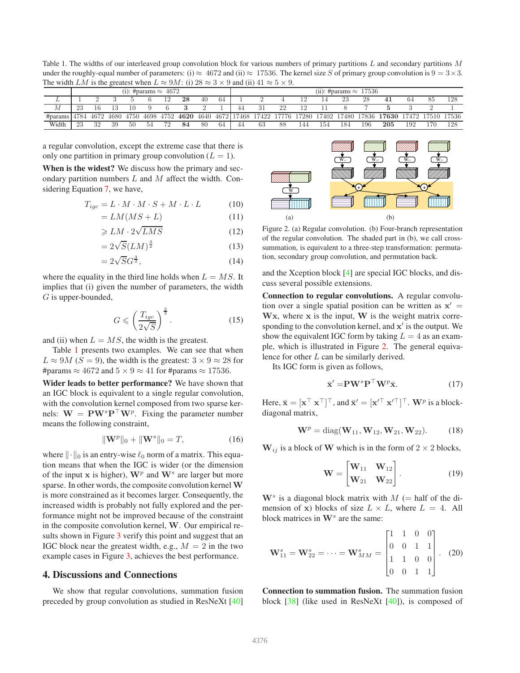<span id="page-3-0"></span>Table 1. The widths of our interleaved group convolution block for various numbers of primary partitions  $L$  and secondary partitions  $M$ under the roughly-equal number of parameters: (i)  $\approx 4672$  and (ii)  $\approx 17536$ . The kernel size S of primary group convolution is  $9 = 3 \times 3$ . The width LM is the greatest when  $L \approx 9M$ : (i)  $28 \approx 3 \times 9$  and (ii)  $41 \approx 5 \times 9$ .

|         | (i): #params $\approx 4672$ |      |           |    |  |    |     |    | (ii): #params $\approx 17536$ |    |     |                                                          |            |       |       |     |     |                   |
|---------|-----------------------------|------|-----------|----|--|----|-----|----|-------------------------------|----|-----|----------------------------------------------------------|------------|-------|-------|-----|-----|-------------------|
| ∸       |                             |      |           |    |  | 28 | 40  | 04 |                               |    |     |                                                          |            | 28    |       | 04  | 8.T | 128               |
|         | 23                          |      |           |    |  |    |     |    |                               | 22 |     |                                                          |            |       |       |     |     |                   |
| #params | 4784                        | 4672 | 4680 4750 |    |  |    |     |    |                               |    |     | 4698 4752 4620 4640 4672 17468 17422 17776 17280 17402 1 | $17480$ i. | 17836 | 17630 |     |     | 17472 17510 17536 |
| Width   | 23                          | າາ   | 39        | 50 |  |    | -80 | 64 | 63                            | 88 | 144 | 154                                                      | 184        | 196   | 205   | 192 |     | 128               |

a regular convolution, except the extreme case that there is only one partition in primary group convolution  $(L = 1)$ .

When is the widest? We discuss how the primary and secondary partition numbers  $L$  and  $M$  affect the width. Considering Equation [7,](#page-2-0) we have,

$$
T_{igc} = L \cdot M \cdot M \cdot S + M \cdot L \cdot L \tag{10}
$$

$$
= LM(MS + L) \tag{11}
$$

$$
\geqslant LM \cdot 2\sqrt{LMS} \tag{12}
$$

$$
=2\sqrt{S}(LM)^{\frac{3}{2}}\tag{13}
$$

$$
=2\sqrt{S}G^{\frac{3}{2}},\tag{14}
$$

where the equality in the third line holds when  $L = MS$ . It implies that (i) given the number of parameters, the width G is upper-bounded,

$$
G \leqslant \left(\frac{T_{igc}}{2\sqrt{S}}\right)^{\frac{2}{3}}.\tag{15}
$$

and (ii) when  $L = MS$ , the width is the greatest.

Table [1](#page-3-0) presents two examples. We can see that when  $L \approx 9M$  ( $S = 9$ ), the width is the greatest:  $3 \times 9 \approx 28$  for #params  $\approx 4672$  and  $5 \times 9 \approx 41$  for #params  $\approx 17536$ .

Wider leads to better performance? We have shown that an IGC block is equivalent to a single regular convolution, with the convolution kernel composed from two sparse kernels:  $\mathbf{W} = \mathbf{P} \mathbf{W}^{s} \mathbf{P}^{\top} \mathbf{W}^{p}$ . Fixing the parameter number means the following constraint,

$$
\|\mathbf{W}^p\|_0 + \|\mathbf{W}^s\|_0 = T,
$$
\n(16)

where  $\|\cdot\|_0$  is an entry-wise  $\ell_0$  norm of a matrix. This equation means that when the IGC is wider (or the dimension of the input x is higher),  $\mathbf{W}^p$  and  $\mathbf{W}^s$  are larger but more sparse. In other words, the composite convolution kernel W is more constrained as it becomes larger. Consequently, the increased width is probably not fully explored and the performance might not be improved because of the constraint in the composite convolution kernel, W. Our empirical re-sults shown in Figure [3](#page-6-0) verify this point and suggest that an IGC block near the greatest width, e.g.,  $M = 2$  in the two example cases in Figure [3,](#page-6-0) achieves the best performance.

# 4. Discussions and Connections

We show that regular convolutions, summation fusion preceded by group convolution as studied in ResNeXt [\[40\]](#page-8-13)



<span id="page-3-2"></span><span id="page-3-1"></span>Figure 2. (a) Regular convolution. (b) Four-branch representation of the regular convolution. The shaded part in (b), we call crosssummation, is equivalent to a three-step transformation: permutation, secondary group convolution, and permutation back.

and the Xception block [\[4\]](#page-8-3) are special IGC blocks, and discuss several possible extensions.

Connection to regular convolutions. A regular convolution over a single spatial position can be written as  $x' =$  $\mathbf{W} \mathbf{x}$ , where  $\mathbf{x}$  is the input,  $\mathbf{W}$  is the weight matrix corresponding to the convolution kernel, and  $x'$  is the output. We show the equivalent IGC form by taking  $L = 4$  as an example, which is illustrated in Figure [2.](#page-3-1) The general equivalence for other L can be similarly derived.

Its IGC form is given as follows,

$$
\bar{\mathbf{x}}' = \mathbf{P}\mathbf{W}^s \mathbf{P}^\top \mathbf{W}^p \bar{\mathbf{x}}.\tag{17}
$$

Here,  $\bar{\mathbf{x}} = [\mathbf{x}^\top \ \mathbf{x}^\top]^\top$ , and  $\bar{\mathbf{x}}' = [\mathbf{x}'^\top \ \mathbf{x}'^\top]^\top$ .  $\mathbf{W}^p$  is a blockdiagonal matrix,

$$
\mathbf{W}^{p} = \text{diag}(\mathbf{W}_{11}, \mathbf{W}_{12}, \mathbf{W}_{21}, \mathbf{W}_{22}).
$$
 (18)

 $W_{ij}$  is a block of W which is in the form of  $2 \times 2$  blocks,

$$
\mathbf{W} = \begin{bmatrix} \mathbf{W}_{11} & \mathbf{W}_{12} \\ \mathbf{W}_{21} & \mathbf{W}_{22} \end{bmatrix} .
$$
 (19)

 $W^s$  is a diagonal block matrix with  $M$  (= half of the dimension of x) blocks of size  $L \times L$ , where  $L = 4$ . All block matrices in  $W^s$  are the same:

$$
\mathbf{W}_{11}^{s} = \mathbf{W}_{22}^{s} = \dots = \mathbf{W}_{MM}^{s} = \begin{bmatrix} 1 & 1 & 0 & 0 \\ 0 & 0 & 1 & 1 \\ 1 & 1 & 0 & 0 \\ 0 & 0 & 1 & 1 \end{bmatrix} . (20)
$$

Connection to summation fusion. The summation fusion block  $[38]$  (like used in ResNeXt  $[40]$ ), is composed of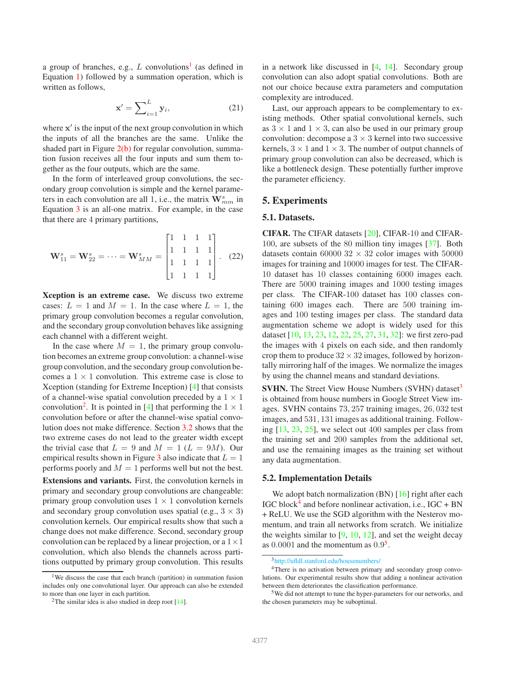a group of branches, e.g.,  $L$  convolutions<sup>[1](#page-4-0)</sup> (as defined in Equation [1\)](#page-2-1) followed by a summation operation, which is written as follows,

$$
\mathbf{x}' = \sum_{i=1}^{L} \mathbf{y}_i,\tag{21}
$$

where  $x'$  is the input of the next group convolution in which the inputs of all the branches are the same. Unlike the shaded part in Figure  $2(b)$  for regular convolution, summation fusion receives all the four inputs and sum them together as the four outputs, which are the same.

In the form of interleaved group convolutions, the secondary group convolution is simple and the kernel parameters in each convolution are all 1, i.e., the matrix  $\mathbf{W}_{mm}^s$  in Equation [3](#page-2-2) is an all-one matrix. For example, in the case that there are 4 primary partitions,

$$
\mathbf{W}_{11}^{s} = \mathbf{W}_{22}^{s} = \dots = \mathbf{W}_{MM}^{s} = \begin{bmatrix} 1 & 1 & 1 & 1 \\ 1 & 1 & 1 & 1 \\ 1 & 1 & 1 & 1 \\ 1 & 1 & 1 & 1 \end{bmatrix} . \quad (22)
$$

Xception is an extreme case. We discuss two extreme cases:  $L = 1$  and  $M = 1$ . In the case where  $L = 1$ , the primary group convolution becomes a regular convolution, and the secondary group convolution behaves like assigning each channel with a different weight.

In the case where  $M = 1$ , the primary group convolution becomes an extreme group convolution: a channel-wise group convolution, and the secondary group convolution becomes a  $1 \times 1$  convolution. This extreme case is close to Xception (standing for Extreme Inception) [\[4\]](#page-8-3) that consists of a channel-wise spatial convolution preceded by a  $1 \times 1$ convolution<sup>[2](#page-4-1)</sup>. It is pointed in [\[4\]](#page-8-3) that performing the  $1 \times 1$ convolution before or after the channel-wise spatial convolution does not make difference. Section [3.2](#page-2-3) shows that the two extreme cases do not lead to the greater width except the trivial case that  $L = 9$  and  $M = 1$  ( $L = 9M$ ). Our empirical results shown in Figure [3](#page-6-0) also indicate that  $L = 1$ performs poorly and  $M = 1$  performs well but not the best.

Extensions and variants. First, the convolution kernels in primary and secondary group convolutions are changeable: primary group convolution uses  $1 \times 1$  convolution kernels and secondary group convolution uses spatial (e.g.,  $3 \times 3$ ) convolution kernels. Our empirical results show that such a change does not make difference. Second, secondary group convolution can be replaced by a linear projection, or a  $1 \times 1$ convolution, which also blends the channels across partitions outputted by primary group convolution. This results

in a network like discussed in [\[4,](#page-8-3) [14\]](#page-8-4). Secondary group convolution can also adopt spatial convolutions. Both are not our choice because extra parameters and computation complexity are introduced.

Last, our approach appears to be complementary to existing methods. Other spatial convolutional kernels, such as  $3 \times 1$  and  $1 \times 3$ , can also be used in our primary group convolution: decompose a  $3 \times 3$  kernel into two successive kernels,  $3 \times 1$  and  $1 \times 3$ . The number of output channels of primary group convolution can also be decreased, which is like a bottleneck design. These potentially further improve the parameter efficiency.

#### 5. Experiments

#### 5.1. Datasets.

CIFAR. The CIFAR datasets [\[20\]](#page-8-24), CIFAR-10 and CIFAR-100, are subsets of the 80 million tiny images [\[37\]](#page-8-25). Both datasets contain 60000  $32 \times 32$  color images with 50000 images for training and 10000 images for test. The CIFAR-10 dataset has 10 classes containing 6000 images each. There are 5000 training images and 1000 testing images per class. The CIFAR-100 dataset has 100 classes containing 600 images each. There are 500 training images and 100 testing images per class. The standard data augmentation scheme we adopt is widely used for this dataset [\[10,](#page-8-5) [13,](#page-8-26) [23,](#page-8-27) [12,](#page-8-28) [22,](#page-8-7) [25,](#page-8-29) [27,](#page-8-30) [31,](#page-8-31) [32\]](#page-8-32): we first zero-pad the images with 4 pixels on each side, and then randomly crop them to produce  $32 \times 32$  images, followed by horizontally mirroring half of the images. We normalize the images by using the channel means and standard deviations.

**SVHN.** The Street View House Numbers (SVHN) dataset<sup>[3](#page-4-2)</sup> is obtained from house numbers in Google Street View images. SVHN contains 73, 257 training images, 26, 032 test images, and 531, 131 images as additional training. Following [\[13,](#page-8-26) [23,](#page-8-27) [25\]](#page-8-29), we select out 400 samples per class from the training set and 200 samples from the additional set, and use the remaining images as the training set without any data augmentation.

#### 5.2. Implementation Details

We adopt batch normalization  $(BN)$  [\[16\]](#page-8-21) right after each IGC block<sup>[4](#page-4-3)</sup> and before nonlinear activation, i.e., IGC + BN + ReLU. We use the SGD algorithm with the Nesterov momentum, and train all networks from scratch. We initialize the weights similar to  $[9, 10, 12]$  $[9, 10, 12]$  $[9, 10, 12]$  $[9, 10, 12]$ , and set the weight decay as  $0.0001$  and the momentum as  $0.9<sup>5</sup>$  $0.9<sup>5</sup>$  $0.9<sup>5</sup>$ .

<span id="page-4-0"></span><sup>&</sup>lt;sup>1</sup>We discuss the case that each branch (partition) in summation fusion includes only one convolutional layer. Our approach can also be extended to more than one layer in each partition.

<span id="page-4-1"></span><sup>&</sup>lt;sup>2</sup>The similar idea is also studied in deep root  $[14]$ .

<span id="page-4-2"></span><sup>3</sup>[http://ufldl.stanford.edu/housenumbers/](#page-0-0)

<span id="page-4-3"></span><sup>4</sup>There is no activation between primary and secondary group convolutions. Our experimental results show that adding a nonlinear activation between them deteriorates the classification performance.

<span id="page-4-4"></span><sup>&</sup>lt;sup>5</sup>We did not attempt to tune the hyper-parameters for our networks, and the chosen parameters may be suboptimal.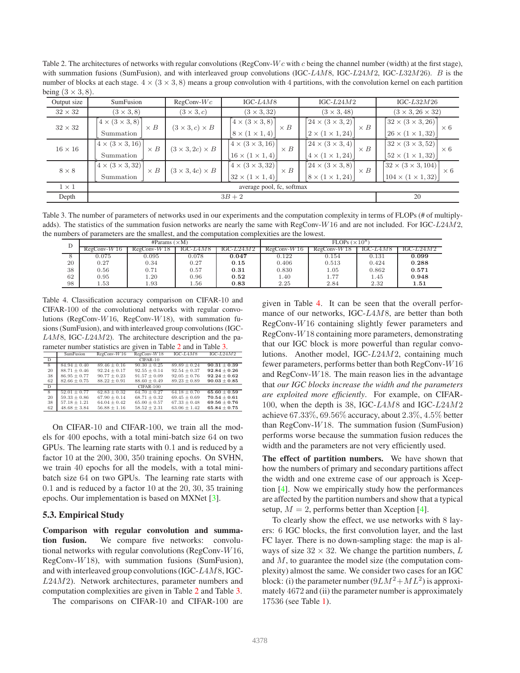<span id="page-5-0"></span>Table 2. The architectures of networks with regular convolutions ( $RegConv-Wc$  with c being the channel number (width) at the first stage), with summation fusions (SumFusion), and with interleaved group convolutions (IGC-L4M8, IGC-L24M2, IGC-L32M26). B is the number of blocks at each stage.  $4 \times (3 \times 3, 8)$  means a group convolution with 4 partitions, with the convolution kernel on each partition being  $(3 \times 3, 8)$ .

| Output size    | SumFusion                                                                      | $RegConv-Wc$                | $IGC-L4M8$                                                                                     | IGC- $L24M2$                                                                                     | IGC- $L32M26$                                                                                 |  |  |  |  |
|----------------|--------------------------------------------------------------------------------|-----------------------------|------------------------------------------------------------------------------------------------|--------------------------------------------------------------------------------------------------|-----------------------------------------------------------------------------------------------|--|--|--|--|
| $32 \times 32$ | $(3 \times 3, 8)$                                                              | $(3 \times 3,c)$            | $(3 \times 3, 32)$                                                                             | $(3 \times 3, 48)$                                                                               | $(3 \times 3, 26 \times 32)$                                                                  |  |  |  |  |
| $32 \times 32$ | $\left[4 \times \left(3 \times 3, 8\right)\right]$<br>$\times B$<br>Summation  | $(3 \times 3, c) \times B$  | $\left[4 \times \left(3 \times 3, 8\right)\right]$<br>$\times B$<br>$8 \times (1 \times 1, 4)$ | $\left  24 \times (3 \times 3, 2) \right $<br>$\times B$<br>$2 \times (1 \times 1, 24)$          | $32 \times (3 \times 3, 26)$<br>$\times 6$<br>$26 \times (1 \times 1, 32)$                    |  |  |  |  |
| $16 \times 16$ | $4 \times (3 \times 3, 16)$<br>$\times B$<br>Summation                         | $(3 \times 3, 2c) \times B$ | $4 \times (3 \times 3, 16)$<br>$\times B$<br>$16 \times (1 \times 1, 4)$                       | $\left  24 \times (3 \times 3, 4) \right $<br>$\times B$<br>$4 \times (1 \times 1, 24)$          | $\left[32\times\left(3\times3,52\right)\right]$<br>$\times 6$<br>$52 \times (1 \times 1, 32)$ |  |  |  |  |
| $8 \times 8$   | $\left[4 \times \left(3 \times 3, 32\right)\right]$<br>$\times B$<br>Summation | $(3 \times 3, 4c) \times B$ | $4 \times (3 \times 3, 32)$<br>$\times B$<br>$ 32 \times (1 \times 1, 4) $                     | $\left[24 \times \left(3 \times 3, 8\right)\right]$<br>$\times B$<br>$8 \times (1 \times 1, 24)$ | $32 \times (3 \times 3, 104)$<br>$\times 6$<br>$104 \times (1 \times 1, 32)$                  |  |  |  |  |
| $1 \times 1$   | average pool, fc, softmax                                                      |                             |                                                                                                |                                                                                                  |                                                                                               |  |  |  |  |
| Depth          |                                                                                |                             | $3B+2$                                                                                         |                                                                                                  | 20                                                                                            |  |  |  |  |

Table 3. The number of parameters of networks used in our experiments and the computation complexity in terms of FLOPs (# of multiplyadds). The statistics of the summation fusion networks are nearly the same with RegConv-W16 and are not included. For IGC- $L24M2$ , the numbers of parameters are the smallest, and the computation complexities are the lowest.

<span id="page-5-1"></span>

|    |                      | #Params $(\times M)$             |                   |              | $FLOPs$ ( $\times 10^{8}$ ) |                      |            |              |  |  |
|----|----------------------|----------------------------------|-------------------|--------------|-----------------------------|----------------------|------------|--------------|--|--|
|    | $\text{RegConv-W16}$ | $\text{Re} \epsilon$ Conv- $W18$ | IGC- <i>L</i> 4M8 | IGC- $L24M2$ | $\text{RegConv-}W16$        | $\text{RegConv-W18}$ | $IGC-L4M8$ | IGC- $L24M2$ |  |  |
|    | 0.075                | 0.095                            | 0.078             | 0.047        | 0.122                       | 0.154                | 0.131      | 0.099        |  |  |
| 20 | 0.27                 | 0.34                             | 0.27              | 0.15         | 0.406                       | 0.513                | 0.424      | 0.288        |  |  |
| 38 | 0.56                 | 0.71                             | 0.57              | 0.31         | 0.830                       | 1.05                 | 0.862      | 0.571        |  |  |
| 62 | 0.95                 | 1.20                             | 0.96              | 0.52         | 1.40                        | 1.77                 | 1.45       | 0.948        |  |  |
| 98 | 1.53                 | 1.93                             | $1.56\,$          | 0.83         | 2.25                        | 2.84                 | 2.32       | 1.51         |  |  |

<span id="page-5-2"></span>Table 4. Classification accuracy comparison on CIFAR-10 and CIFAR-100 of the convolutional networks with regular convolutions (RegConv-W16, RegConv-W18), with summation fusions (SumFusion), and with interleaved group convolutions (IGC- $L4M8$ , IGC- $L24M2$ ). The architecture description and the parameter number statistics are given in Table [2](#page-5-0) and in Table [3.](#page-5-1)

|                | SumFusion        | $RegConv-W16$    | $RegConv-W18$    | $IGC-L4M8$       | $IGC-L24M2$      |
|----------------|------------------|------------------|------------------|------------------|------------------|
| $\overline{D}$ |                  |                  | CIFAR-10         |                  |                  |
| -8             | $84.94 \pm 0.40$ | $89.46 \pm 0.16$ | $90.30 \pm 0.25$ | $89.89 \pm 0.24$ | $90.31 \pm 0.39$ |
| 20             | $88.71 \pm 0.46$ | $92.24 + 0.17$   | $92.55 + 0.14$   | $92.54 + 0.37$   | $92.84 + 0.26$   |
| 38             | $86.95 \pm 0.77$ | $90.77 \pm 0.23$ | $91.57 \pm 0.09$ | $92.05 \pm 0.76$ | $92.24 \pm 0.62$ |
| 62             | $82.66 \pm 0.75$ | $88.22 \pm 0.91$ | $88.60 \pm 0.49$ | $89.23 \pm 0.89$ | $90.03 \pm 0.85$ |
| $\overline{D}$ |                  |                  | $CIFAR-100$      |                  |                  |
| $\overline{8}$ | $52.01 \pm 0.77$ | $62.83 \pm 0.32$ | $64.70 \pm 0.27$ | $64.18 \pm 0.70$ | $65.60 \pm 0.59$ |
| 20             | $59.33 \pm 0.86$ | $67.90 + 0.14$   | $68.71 \pm 0.32$ | $69.45 \pm 0.69$ | $70.54 + 0.61$   |
| 38             | $57.18 \pm 1.21$ | $64.04 \pm 0.42$ | $65.00 \pm 0.57$ | $67.33 \pm 0.48$ | $69.56 \pm 0.76$ |
| 62             | $48.68 \pm 3.84$ | $56.88 \pm 1.16$ | $58.52 \pm 2.31$ | $63.06 \pm 1.42$ | $65.84 \pm 0.75$ |

On CIFAR-10 and CIFAR-100, we train all the models for 400 epochs, with a total mini-batch size 64 on two GPUs. The learning rate starts with 0.1 and is reduced by a factor 10 at the 200, 300, 350 training epochs. On SVHN, we train 40 epochs for all the models, with a total minibatch size 64 on two GPUs. The learning rate starts with 0.1 and is reduced by a factor 10 at the 20, 30, 35 training epochs. Our implementation is based on MXNet [\[3\]](#page-8-34).

### 5.3. Empirical Study

Comparison with regular convolution and summation fusion. We compare five networks: convolutional networks with regular convolutions (RegConv-W16, RegConv-W18), with summation fusions (SumFusion), and with interleaved group convolutions (IGC-L4M8, IGC-L24M2). Network architectures, parameter numbers and computation complexities are given in Table [2](#page-5-0) and Table [3.](#page-5-1)

The comparisons on CIFAR-10 and CIFAR-100 are

given in Table [4.](#page-5-2) It can be seen that the overall performance of our networks, IGC-L4M8, are better than both RegConv-W16 containing slightly fewer parameters and RegConv-W18 containing more parameters, demonstrating that our IGC block is more powerful than regular convolutions. Another model, IGC-L24M2, containing much fewer parameters, performs better than both RegConv-W16 and RegConv-W18. The main reason lies in the advantage that *our IGC blocks increase the width and the parameters are exploited more efficiently*. For example, on CIFAR-100, when the depth is 38, IGC-L4M8 and IGC-L24M2 achieve 67.33%, 69.56% accuracy, about 2.3%, 4.5% better than  $RegConv-W18$ . The summation fusion (SumFusion) performs worse because the summation fusion reduces the width and the parameters are not very efficiently used.

The effect of partition numbers. We have shown that how the numbers of primary and secondary partitions affect the width and one extreme case of our approach is Xception [\[4\]](#page-8-3). Now we empirically study how the performances are affected by the partition numbers and show that a typical setup,  $M = 2$ , performs better than Xception [\[4\]](#page-8-3).

To clearly show the effect, we use networks with 8 layers: 6 IGC blocks, the first convolution layer, and the last FC layer. There is no down-sampling stage: the map is always of size  $32 \times 32$ . We change the partition numbers, L and M, to guarantee the model size (the computation complexity) almost the same. We consider two cases for an IGC block: (i) the parameter number  $(9LM^2+ML^2)$  is approximately 4672 and (ii) the parameter number is approximately 17536 (see Table [1\)](#page-3-0).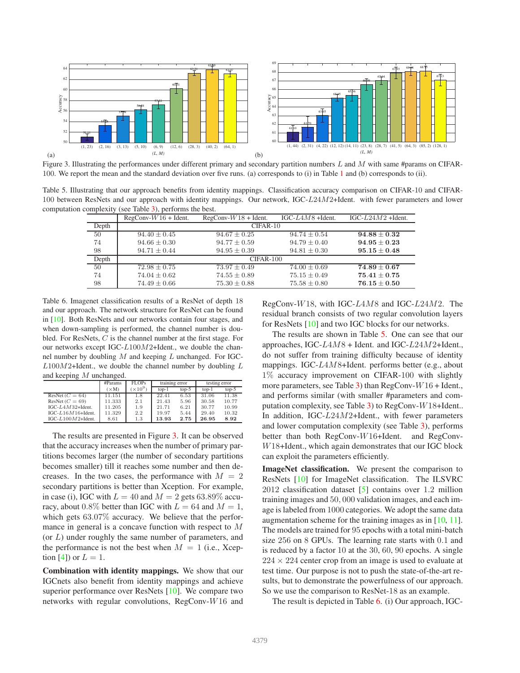

<span id="page-6-0"></span>Figure 3. Illustrating the performances under different primary and secondary partition numbers  $L$  and  $M$  with same #params on CIFAR-100. We report the mean and the standard deviation over five runs. (a) corresponds to (i) in Table [1](#page-3-0) and (b) corresponds to (ii).

Table 5. Illustrating that our approach benefits from identity mappings. Classification accuracy comparison on CIFAR-10 and CIFAR-100 between ResNets and our approach with identity mappings. Our network, IGC-L24M2+Ident. with fewer parameters and lower computation complexity (see Table [3\)](#page-5-1), performs the best.

<span id="page-6-1"></span>

| $\sim$ |                        |                        |                     |                      |
|--------|------------------------|------------------------|---------------------|----------------------|
|        | $RegConv-W16 + Ident.$ | $RegConv-W18 + Ident.$ | $IGC-L4M8 + Ident.$ | IGC- $L24M2$ +Ident. |
| Depth  |                        | $CIFAR-10$             |                     |                      |
| 50     | $94.40 + 0.45$         | $94.67 \pm 0.25$       | $94.74 + 0.54$      | $94.88 + 0.32$       |
| 74     | $94.66 + 0.30$         | $94.77 + 0.59$         | $94.79 + 0.40$      | $94.95 + 0.23$       |
| 98     | $94.71 \pm 0.44$       | $94.95 \pm 0.39$       | $94.81 \pm 0.30$    | $95.15 \pm 0.48$     |
| Depth  |                        | CIFAR-100              |                     |                      |
| 50     | $72.98 + 0.75$         | $73.97 + 0.49$         | $74.00 \pm 0.69$    | $74.89 + 0.67$       |
| 74     | $74.04 \pm 0.62$       | $74.55 \pm 0.89$       | $75.15 \pm 0.49$    | $75.41 + 0.75$       |
| 98     | $74.49 + 0.66$         | $75.30 \pm 0.88$       | $75.58 + 0.80$      | $76.15 \pm 0.50$     |

<span id="page-6-2"></span>Table 6. Imagenet classification results of a ResNet of depth 18 and our approach. The network structure for ResNet can be found in [\[10\]](#page-8-5). Both ResNets and our networks contain four stages, and when down-sampling is performed, the channel number is doubled. For ResNets, C is the channel number at the first stage. For our networks except IGC-L100M2+Ident., we double the channel number by doubling  $M$  and keeping  $L$  unchanged. For IGC- $L100M2+$ Ident., we double the channel number by doubling  $L$ and keeping M unchanged.

|                       | #Params | <b>FLOPs</b>  | training error |         | testing error |         |
|-----------------------|---------|---------------|----------------|---------|---------------|---------|
|                       | (xM)    | $\times 10^9$ | $ton-1$        | $top-5$ | $ton-1$       | $top-5$ |
| ResNet $(C = 64)$     | 11.151  | 1.8           | 22.41          | 6.53    | 31.06         | 11.38   |
| ResNet $(C = 69)$     | 11.333  | 2.1           | 21.43          | 5.96    | 30.58         | 10.77   |
| IGC- $L4M32+$ Ident.  | 11.205  | 1.9           | 21.71          | 6.21    | 30.77         | 10.99   |
| IGC- $L16M16+$ Ident. | 11.329  | 2.2           | 19.97          | 5.44    | 29.40         | 10.32   |
| IGC- $L100M2+$ Ident. | 8.61    | 1.3           | 13.93          | 2.75    | 26.95         | 8.92    |

The results are presented in Figure [3.](#page-6-0) It can be observed that the accuracy increases when the number of primary partitions becomes larger (the number of secondary partitions becomes smaller) till it reaches some number and then decreases. In the two cases, the performance with  $M = 2$ secondary partitions is better than Xception. For example, in case (i), IGC with  $L = 40$  and  $M = 2$  gets 63.89% accuracy, about 0.8% better than IGC with  $L = 64$  and  $M = 1$ , which gets 63.07% accuracy. We believe that the performance in general is a concave function with respect to M (or  $L$ ) under roughly the same number of parameters, and the performance is not the best when  $M = 1$  (i.e., Xcep-tion [\[4\]](#page-8-3)) or  $L = 1$ .

Combination with identity mappings. We show that our IGCnets also benefit from identity mappings and achieve superior performance over ResNets [\[10\]](#page-8-5). We compare two networks with regular convolutions, RegConv-W16 and

RegConv-W18, with IGC-L4M8 and IGC-L24M2. The residual branch consists of two regular convolution layers for ResNets [\[10\]](#page-8-5) and two IGC blocks for our networks.

The results are shown in Table [5.](#page-6-1) One can see that our approaches,  $IGC-L4M8 + Id$ ent. and  $IGC-L24M2+Id$ ent., do not suffer from training difficulty because of identity mappings. IGC-L4M8+Ident. performs better (e.g., about 1% accuracy improvement on CIFAR-100 with slightly more parameters, see Table [3\)](#page-5-1) than  $RegConv-W16 + Ident.$ and performs similar (with smaller #parameters and computation complexity, see Table  $3$ ) to RegConv-W18+Ident.. In addition, IGC-L24M2+Ident., with fewer parameters and lower computation complexity (see Table [3\)](#page-5-1), performs better than both RegConv-W16+Ident. and RegConv-W18+Ident., which again demonstrates that our IGC block can exploit the parameters efficiently.

ImageNet classification. We present the comparison to ResNets [\[10\]](#page-8-5) for ImageNet classification. The ILSVRC 2012 classification dataset [\[5\]](#page-8-35) contains over 1.2 million training images and 50, 000 validation images, and each image is labeled from 1000 categories. We adopt the same data augmentation scheme for the training images as in [\[10,](#page-8-5) [11\]](#page-8-36). The models are trained for 95 epochs with a total mini-batch size 256 on 8 GPUs. The learning rate starts with 0.1 and is reduced by a factor 10 at the 30, 60, 90 epochs. A single  $224 \times 224$  center crop from an image is used to evaluate at test time. Our purpose is not to push the state-of-the-art results, but to demonstrate the powerfulness of our approach. So we use the comparison to ResNet-18 as an example.

The result is depicted in Table [6.](#page-6-2) (i) Our approach, IGC-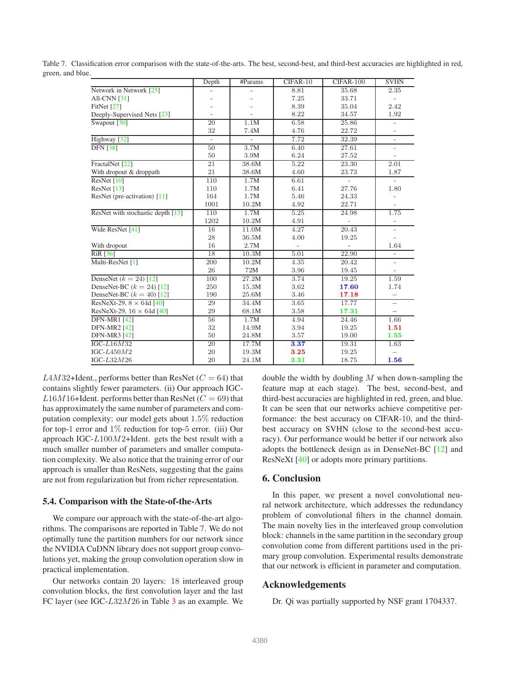<span id="page-7-0"></span>

|                                   | Depth            | #Params | CIFAR-10 | CIFAR-100      | <b>SVHN</b>              |
|-----------------------------------|------------------|---------|----------|----------------|--------------------------|
| Network in Network [25]           |                  |         | 8.81     | 35.68          | 2.35                     |
| <b>All-CNN</b> [31]               |                  |         | 7.25     | 33.71          | ÷                        |
| FitNet $[27]$                     |                  |         | 8.39     | 35.04          | 2.42                     |
| Deeply-Supervised Nets [23]       |                  |         | 8.22     | 34.57          | 1.92                     |
| Swapout [30]                      | $\overline{20}$  | 1.1M    | 6.58     | 25.86          | $\overline{a}$           |
|                                   | 32               | 7.4M    | 4.76     | 22.72          |                          |
| Highway <sup>[32]</sup>           | ÷.               | L.      | 7.72     | 32.39          | $\overline{a}$           |
| <b>DFN</b> [38]                   | 50               | 3.7M    | 6.40     | 27.61          | L,                       |
|                                   | 50               | 3.9M    | 6.24     | 27.52          |                          |
| FractalNet [22]                   | 21               | 38.6M   | 5.22     | 23.30          | 2.01                     |
| With dropout & droppath           | 21               | 38.6M   | 4.60     | 23.73          | 1.87                     |
| ResNet $[10]$                     | 110              | 1.7M    | 6.61     |                | L,                       |
| ResNet $[13]$                     | 110              | 1.7M    | 6.41     | 27.76          | 1.80                     |
| ResNet (pre-activation) [11]      | 164              | 1.7M    | 5.46     | 24.33          |                          |
|                                   | 1001             | 10.2M   | 4.92     | 22.71          |                          |
| ResNet with stochastic depth [13] | 110              | 1.7M    | 5.25     | 24.98          | 1.75                     |
|                                   | 1202             | 10.2M   | 4.91     |                | $\overline{\phantom{0}}$ |
| Wide ResNet [41]                  | 16               | 11.0M   | 4.27     | 20.43          | L,                       |
|                                   | 28               | 36.5M   | 4.00     | 19.25          |                          |
| With dropout                      | 16               | 2.7M    | $\sim$   | $\overline{a}$ | 1.64                     |
| RiR [36]                          | 18               | 10.3M   | 5.01     | 22.90          | $\overline{a}$           |
| Multi-ResNet [1]                  | $\overline{200}$ | 10.2M   | 4.35     | 20.42          | L,                       |
|                                   | 26               | 72M     | 3.96     | 19.45          |                          |
| DenseNet $(k = 24)$ [12]          | 100              | 27.2M   | 3.74     | 19.25          | 1.59                     |
| DenseNet-BC $(k = 24)$ [12]       | 250              | 15.3M   | 3.62     | 17.60          | 1.74                     |
| DenseNet-BC $(k = 40)$ [12]       | 190              | 25.6M   | 3.46     | 17.18          |                          |
| ResNeXt-29, $8 \times 64$ d [40]  | 29               | 34.4M   | 3.65     | 17.77          | $\overline{\phantom{0}}$ |
| ResNeXt-29, $16 \times 64$ d [40] | 29               | 68.1M   | 3.58     | 17.31          |                          |
| <b>DFN-MR1 [42]</b>               | 56               | 1.7M    | 4.94     | 24.46          | 1.66                     |
| <b>DFN-MR2</b> [42]               | 32               | 14.9M   | 3.94     | 19.25          | 1.51                     |
| DFN-MR3 [42]                      | 50               | 24.8M   | 3.57     | 19.00          | 1.55                     |
| IGC- $L16M32$                     | 20               | 17.7M   | 3.37     | 19.31          | 1.63                     |
| IGC- $L450M2$                     | 20               | 19.3M   | 3.25     | 19.25          |                          |
| IGC- $L32M26$                     | 20               | 24.1M   | 3.31     | 18.75          | 1.56                     |

Table 7. Classification error comparison with the state-of-the-arts. The best, second-best, and third-best accuracies are highlighted in red, green, and blue.

 $L4M32+$ Ident., performs better than ResNet ( $C = 64$ ) that contains slightly fewer parameters. (ii) Our approach IGC- $L16M16+$ Ident. performs better than ResNet ( $C = 69$ ) that has approximately the same number of parameters and computation complexity: our model gets about 1.5% reduction for top-1 error and  $1\%$  reduction for top-5 error. (iii) Our approach IGC-L100M2+Ident. gets the best result with a much smaller number of parameters and smaller computation complexity. We also notice that the training error of our approach is smaller than ResNets, suggesting that the gains are not from regularization but from richer representation.

#### 5.4. Comparison with the State-of-the-Arts

We compare our approach with the state-of-the-art algorithms. The comparisons are reported in Table [7.](#page-7-0) We do not optimally tune the partition numbers for our network since the NVIDIA CuDNN library does not support group convolutions yet, making the group convolution operation slow in practical implementation.

Our networks contain 20 layers: 18 interleaved group convolution blocks, the first convolution layer and the last FC layer (see IGC-L32M26 in Table [3](#page-5-1) as an example. We

double the width by doubling  $M$  when down-sampling the feature map at each stage). The best, second-best, and third-best accuracies are highlighted in red, green, and blue. It can be seen that our networks achieve competitive performance: the best accuracy on CIFAR-10, and the thirdbest accuracy on SVHN (close to the second-best accuracy). Our performance would be better if our network also adopts the bottleneck design as in DenseNet-BC [\[12\]](#page-8-28) and ResNeXt [\[40\]](#page-8-13) or adopts more primary partitions.

# 6. Conclusion

In this paper, we present a novel convolutional neural network architecture, which addresses the redundancy problem of convolutional filters in the channel domain. The main novelty lies in the interleaved group convolution block: channels in the same partition in the secondary group convolution come from different partitions used in the primary group convolution. Experimental results demonstrate that our network is efficient in parameter and computation.

#### Acknowledgements

Dr. Qi was partially supported by NSF grant 1704337.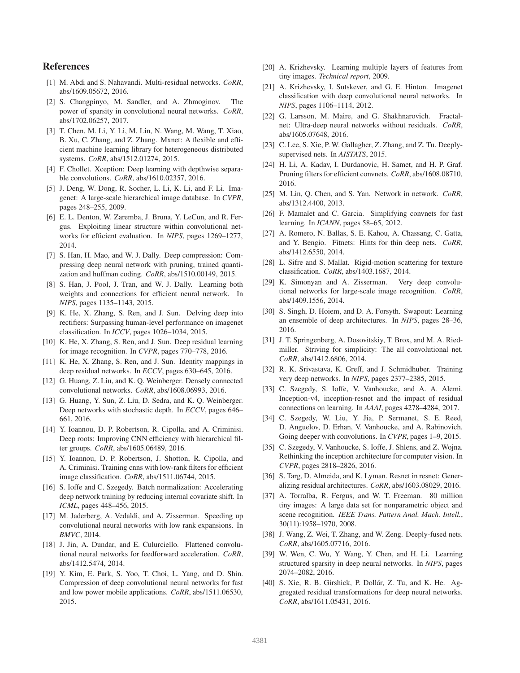## <span id="page-8-39"></span>References

- <span id="page-8-16"></span>[1] M. Abdi and S. Nahavandi. Multi-residual networks. *CoRR*, abs/1609.05672, 2016.
- [2] S. Changpinyo, M. Sandler, and A. Zhmoginov. The power of sparsity in convolutional neural networks. *CoRR*, abs/1702.06257, 2017.
- <span id="page-8-34"></span>[3] T. Chen, M. Li, Y. Li, M. Lin, N. Wang, M. Wang, T. Xiao, B. Xu, C. Zhang, and Z. Zhang. Mxnet: A flexible and efficient machine learning library for heterogeneous distributed systems. *CoRR*, abs/1512.01274, 2015.
- <span id="page-8-35"></span><span id="page-8-3"></span>[4] F. Chollet. Xception: Deep learning with depthwise separable convolutions. *CoRR*, abs/1610.02357, 2016.
- [5] J. Deng, W. Dong, R. Socher, L. Li, K. Li, and F. Li. Imagenet: A large-scale hierarchical image database. In *CVPR*, pages 248–255, 2009.
- <span id="page-8-22"></span>[6] E. L. Denton, W. Zaremba, J. Bruna, Y. LeCun, and R. Fergus. Exploiting linear structure within convolutional networks for efficient evaluation. In *NIPS*, pages 1269–1277, 2014.
- <span id="page-8-19"></span>[7] S. Han, H. Mao, and W. J. Dally. Deep compression: Compressing deep neural network with pruning, trained quantization and huffman coding. *CoRR*, abs/1510.00149, 2015.
- <span id="page-8-20"></span>[8] S. Han, J. Pool, J. Tran, and W. J. Dally. Learning both weights and connections for efficient neural network. In *NIPS*, pages 1135–1143, 2015.
- <span id="page-8-33"></span>[9] K. He, X. Zhang, S. Ren, and J. Sun. Delving deep into rectifiers: Surpassing human-level performance on imagenet classification. In *ICCV*, pages 1026–1034, 2015.
- <span id="page-8-36"></span><span id="page-8-5"></span>[10] K. He, X. Zhang, S. Ren, and J. Sun. Deep residual learning for image recognition. In *CVPR*, pages 770–778, 2016.
- <span id="page-8-28"></span>[11] K. He, X. Zhang, S. Ren, and J. Sun. Identity mappings in deep residual networks. In *ECCV*, pages 630–645, 2016.
- <span id="page-8-26"></span>[12] G. Huang, Z. Liu, and K. Q. Weinberger. Densely connected convolutional networks. *CoRR*, abs/1608.06993, 2016.
- [13] G. Huang, Y. Sun, Z. Liu, D. Sedra, and K. Q. Weinberger. Deep networks with stochastic depth. In *ECCV*, pages 646– 661, 2016.
- <span id="page-8-4"></span>[14] Y. Ioannou, D. P. Robertson, R. Cipolla, and A. Criminisi. Deep roots: Improving CNN efficiency with hierarchical filter groups. *CoRR*, abs/1605.06489, 2016.
- <span id="page-8-0"></span>[15] Y. Ioannou, D. P. Robertson, J. Shotton, R. Cipolla, and A. Criminisi. Training cnns with low-rank filters for efficient image classification. *CoRR*, abs/1511.06744, 2015.
- <span id="page-8-21"></span>[16] S. Ioffe and C. Szegedy. Batch normalization: Accelerating deep network training by reducing internal covariate shift. In *ICML*, pages 448–456, 2015.
- <span id="page-8-10"></span>[17] M. Jaderberg, A. Vedaldi, and A. Zisserman. Speeding up convolutional neural networks with low rank expansions. In *BMVC*, 2014.
- <span id="page-8-12"></span>[18] J. Jin, A. Dundar, and E. Culurciello. Flattened convolutional neural networks for feedforward acceleration. *CoRR*, abs/1412.5474, 2014.
- <span id="page-8-23"></span>[19] Y. Kim, E. Park, S. Yoo, T. Choi, L. Yang, and D. Shin. Compression of deep convolutional neural networks for fast and low power mobile applications. *CoRR*, abs/1511.06530, 2015.
- <span id="page-8-24"></span><span id="page-8-15"></span>[20] A. Krizhevsky. Learning multiple layers of features from tiny images. *Technical report*, 2009.
- [21] A. Krizhevsky, I. Sutskever, and G. E. Hinton. Imagenet classification with deep convolutional neural networks. In *NIPS*, pages 1106–1114, 2012.
- <span id="page-8-7"></span>[22] G. Larsson, M. Maire, and G. Shakhnarovich. Fractalnet: Ultra-deep neural networks without residuals. *CoRR*, abs/1605.07648, 2016.
- <span id="page-8-27"></span><span id="page-8-17"></span>[23] C. Lee, S. Xie, P. W. Gallagher, Z. Zhang, and Z. Tu. Deeplysupervised nets. In *AISTATS*, 2015.
- [24] H. Li, A. Kadav, I. Durdanovic, H. Samet, and H. P. Graf. Pruning filters for efficient convnets. *CoRR*, abs/1608.08710, 2016.
- <span id="page-8-29"></span><span id="page-8-11"></span>[25] M. Lin, Q. Chen, and S. Yan. Network in network. *CoRR*, abs/1312.4400, 2013.
- <span id="page-8-30"></span>[26] F. Mamalet and C. Garcia. Simplifying convnets for fast learning. In *ICANN*, pages 58–65, 2012.
- [27] A. Romero, N. Ballas, S. E. Kahou, A. Chassang, C. Gatta, and Y. Bengio. Fitnets: Hints for thin deep nets. *CoRR*, abs/1412.6550, 2014.
- <span id="page-8-14"></span><span id="page-8-9"></span>[28] L. Sifre and S. Mallat. Rigid-motion scattering for texture classification. *CoRR*, abs/1403.1687, 2014.
- [29] K. Simonyan and A. Zisserman. Very deep convolutional networks for large-scale image recognition. *CoRR*, abs/1409.1556, 2014.
- <span id="page-8-37"></span>[30] S. Singh, D. Hoiem, and D. A. Forsyth. Swapout: Learning an ensemble of deep architectures. In *NIPS*, pages 28–36, 2016.
- <span id="page-8-31"></span>[31] J. T. Springenberg, A. Dosovitskiy, T. Brox, and M. A. Riedmiller. Striving for simplicity: The all convolutional net. *CoRR*, abs/1412.6806, 2014.
- <span id="page-8-32"></span>[32] R. K. Srivastava, K. Greff, and J. Schmidhuber. Training very deep networks. In *NIPS*, pages 2377–2385, 2015.
- <span id="page-8-2"></span>[33] C. Szegedy, S. Ioffe, V. Vanhoucke, and A. A. Alemi. Inception-v4, inception-resnet and the impact of residual connections on learning. In *AAAI*, pages 4278–4284, 2017.
- <span id="page-8-8"></span>[34] C. Szegedy, W. Liu, Y. Jia, P. Sermanet, S. E. Reed, D. Anguelov, D. Erhan, V. Vanhoucke, and A. Rabinovich. Going deeper with convolutions. In *CVPR*, pages 1–9, 2015.
- <span id="page-8-1"></span>[35] C. Szegedy, V. Vanhoucke, S. Ioffe, J. Shlens, and Z. Wojna. Rethinking the inception architecture for computer vision. In *CVPR*, pages 2818–2826, 2016.
- <span id="page-8-38"></span><span id="page-8-25"></span>[36] S. Targ, D. Almeida, and K. Lyman. Resnet in resnet: Generalizing residual architectures. *CoRR*, abs/1603.08029, 2016.
- [37] A. Torralba, R. Fergus, and W. T. Freeman. 80 million tiny images: A large data set for nonparametric object and scene recognition. *IEEE Trans. Pattern Anal. Mach. Intell.*, 30(11):1958–1970, 2008.
- <span id="page-8-18"></span><span id="page-8-6"></span>[38] J. Wang, Z. Wei, T. Zhang, and W. Zeng. Deeply-fused nets. *CoRR*, abs/1605.07716, 2016.
- [39] W. Wen, C. Wu, Y. Wang, Y. Chen, and H. Li. Learning structured sparsity in deep neural networks. In *NIPS*, pages 2074–2082, 2016.
- <span id="page-8-13"></span>[40] S. Xie, R. B. Girshick, P. Dollár, Z. Tu, and K. He. Aggregated residual transformations for deep neural networks. *CoRR*, abs/1611.05431, 2016.